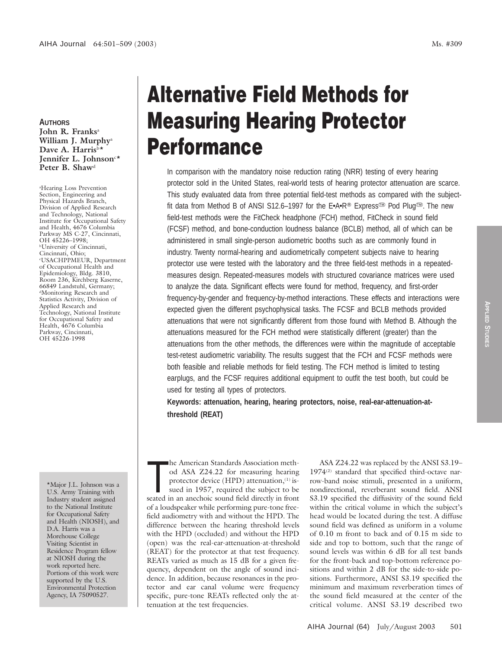**AUTHORS John R. Franks**<sup>a</sup> **William J. Murphy**<sup>a</sup> Dave A. Harris<sup>b\*</sup> **Jennifer L. Johnson**<sup>c</sup> \* **Peter B. Shaw**<sup>d</sup>

a Hearing Loss Prevention Section, Engineering and Physical Hazards Branch, Division of Applied Research and Technology, National Institute for Occupational Safety and Health, 4676 Columbia Parkway MS C-27, Cincinnati, OH 45226–1998; bUniversity of Cincinnati, Cincinnati, Ohio; c USACHPPMEUR, Department of Occupational Health and Epidemiology, Bldg. 3810, Room 236, Kirchberg Kaserne, 66849 Landstuhl, Germany; dMonitoring Research and Statistics Activity, Division of Applied Research and Technology, National Institute for Occupational Safety and Health, 4676 Columbia Parkway, Cincinnati, OH 45226-1998

\*Major J.L. Johnson was a U.S. Army Training with Industry student assigned to the National Institute for Occupational Safety and Health (NIOSH), and D.A. Harris was a Morehouse College Visiting Scientist in Residence Program fellow at NIOSH during the work reported here. Portions of this work were supported by the U.S. Environmental Protection Agency, IA 75090527.

# **Alternative Field Methods for Measuring Hearing Protector Performance**

In comparison with the mandatory noise reduction rating (NRR) testing of every hearing protector sold in the United States, real-world tests of hearing protector attenuation are scarce. This study evaluated data from three potential field-test methods as compared with the subjectfit data from Method B of ANSI S12.6-1997 for the E•A•R<sup>®</sup> Express<sup>®®</sup> Pod Plug<sup>®®</sup>. The new field-test methods were the FitCheck headphone (FCH) method, FitCheck in sound field (FCSF) method, and bone-conduction loudness balance (BCLB) method, all of which can be administered in small single-person audiometric booths such as are commonly found in industry. Twenty normal-hearing and audiometrically competent subjects naive to hearing protector use were tested with the laboratory and the three field-test methods in a repeatedmeasures design. Repeated-measures models with structured covariance matrices were used to analyze the data. Significant effects were found for method, frequency, and first-order frequency-by-gender and frequency-by-method interactions. These effects and interactions were expected given the different psychophysical tasks. The FCSF and BCLB methods provided attenuations that were not significantly different from those found with Method B. Although the attenuations measured for the FCH method were statistically different (greater) than the attenuations from the other methods, the differences were within the magnitude of acceptable test-retest audiometric variability. The results suggest that the FCH and FCSF methods were both feasible and reliable methods for field testing. The FCH method is limited to testing earplugs, and the FCSF requires additional equipment to outfit the test booth, but could be used for testing all types of protectors.

**Keywords: attenuation, hearing, hearing protectors, noise, real-ear-attenuation-atthreshold (REAT)**

The American Standards Association method<br>
od ASA Z24.22 for measuring hearing<br>
protector device (HPD) attenuation,<sup>(1)</sup> is-<br>
sued in 1957, required the subject to be<br>
seated in an anechoic sound field directly in front od ASA Z24.22 for measuring hearing protector device (HPD) attenuation,<sup>(1)</sup> isseated in an anechoic sound field directly in front of a loudspeaker while performing pure-tone freefield audiometry with and without the HPD. The difference between the hearing threshold levels with the HPD (occluded) and without the HPD (open) was the real-ear-attenuation-at-threshold (REAT) for the protector at that test frequency. REATs varied as much as 15 dB for a given frequency, dependent on the angle of sound incidence. In addition, because resonances in the protector and ear canal volume were frequency specific, pure-tone REATs reflected only the attenuation at the test frequencies.

ASA Z24.22 was replaced by the ANSI S3.19– 1974(2) standard that specified third-octave narrow-band noise stimuli, presented in a uniform, nondirectional, reverberant sound field. ANSI S3.19 specified the diffusivity of the sound field within the critical volume in which the subject's head would be located during the test. A diffuse sound field was defined as uniform in a volume of 0.10 m front to back and of 0.15 m side to side and top to bottom, such that the range of sound levels was within 6 dB for all test bands for the front-back and top-bottom reference positions and within 2 dB for the side-to-side positions. Furthermore, ANSI S3.19 specified the minimum and maximum reverberation times of the sound field measured at the center of the critical volume. ANSI S3.19 described two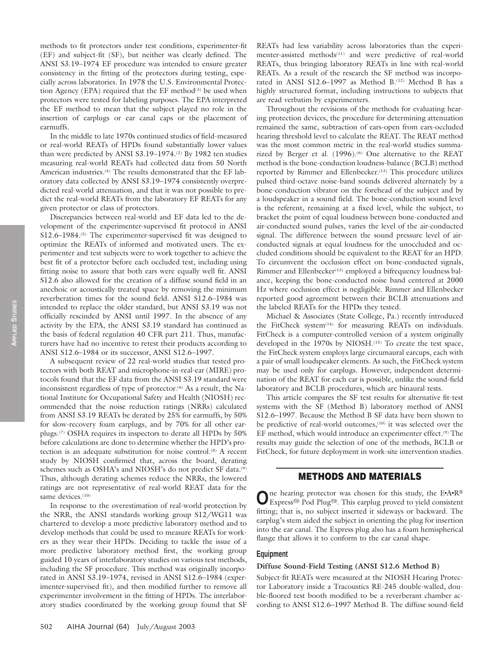methods to fit protectors under test conditions, experimenter-fit (EF) and subject-fit (SF), but neither was clearly defined. The ANSI S3.19–1974 EF procedure was intended to ensure greater consistency in the fitting of the protectors during testing, especially across laboratories. In 1978 the U.S. Environmental Protection Agency (EPA) required that the EF method<sup>(3)</sup> be used when protectors were tested for labeling purposes. The EPA interpreted the EF method to mean that the subject played no role in the insertion of earplugs or ear canal caps or the placement of earmuffs.

In the middle to late 1970s continued studies of field-measured or real-world REATs of HPDs found substantially lower values than were predicted by ANSI S3.19-1974.<sup>(2)</sup> By 1982 ten studies measuring real-world REATs had collected data from 50 North American industries.<sup>(4)</sup> The results demonstrated that the EF laboratory data collected by ANSI S3.19–1974 consistently overpredicted real-world attenuation, and that it was not possible to predict the real-world REATs from the laboratory EF REATs for any given protector or class of protectors.

Discrepancies between real-world and EF data led to the development of the experimenter-supervised fit protocol in ANSI S12.6–1984.<sup>(5)</sup> The experimenter-supervised fit was designed to optimize the REATs of informed and motivated users. The experimenter and test subjects were to work together to achieve the best fit of a protector before each occluded test, including using fitting noise to assure that both ears were equally well fit. ANSI S12.6 also allowed for the creation of a diffuse sound field in an anechoic or acoustically treated space by removing the minimum reverberation times for the sound field. ANSI S12.6–1984 was intended to replace the older standard, but ANSI S3.19 was not officially rescinded by ANSI until 1997. In the absence of any activity by the EPA, the ANSI S3.19 standard has continued as the basis of federal regulation 40 CFR part 211. Thus, manufacturers have had no incentive to retest their products according to ANSI S12.6–1984 or its successor, ANSI S12.6–1997.

A subsequent review of 22 real-world studies that tested protectors with both REAT and microphone-in-real-ear (MIRE) protocols found that the EF data from the ANSI S3.19 standard were inconsistent regardless of type of protector.<sup>(6)</sup> As a result, the National Institute for Occupational Safety and Health (NIOSH) recommended that the noise reduction ratings (NRRs) calculated from ANSI S3.19 REATs be derated by 25% for earmuffs, by 50% for slow-recovery foam earplugs, and by 70% for all other earplugs.(7) OSHA requires its inspectors to derate all HPDs by 50% before calculations are done to determine whether the HPD's protection is an adequate substitution for noise control.(8) A recent study by NIOSH confirmed that, across the board, derating schemes such as OSHA's and NIOSH's do not predict SF data.<sup>(9)</sup> Thus, although derating schemes reduce the NRRs, the lowered ratings are not representative of real-world REAT data for the same devices.<sup>(10)</sup>

In response to the overestimation of real-world protection by the NRR, the ANSI standards working group S12/WG11 was chartered to develop a more predictive laboratory method and to develop methods that could be used to measure REATs for workers as they wear their HPDs. Deciding to tackle the issue of a more predictive laboratory method first, the working group guided 10 years of interlaboratory studies on various test methods, including the SF procedure. This method was originally incorporated in ANSI S3.19–1974, revised in ANSI S12.6–1984 (experimenter-supervised fit), and then modified further to remove all experimenter involvement in the fitting of HPDs. The interlaboratory studies coordinated by the working group found that SF

REATs had less variability across laboratories than the experimenter-assisted methods<sup>(11)</sup> and were predictive of real-world REATs, thus bringing laboratory REATs in line with real-world REATs. As a result of the research the SF method was incorporated in ANSI S12.6-1997 as Method B.<sup>(12)</sup> Method B has a highly structured format, including instructions to subjects that are read verbatim by experimenters.

Throughout the revisions of the methods for evaluating hearing protection devices, the procedure for determining attenuation remained the same, subtraction of ears-open from ears-occluded hearing threshold level to calculate the REAT. The REAT method was the most common metric in the real-world studies summarized by Berger et al. (1996).<sup>(6)</sup> One alternative to the REAT method is the bone-conduction loudness-balance (BCLB) method reported by Rimmer and Ellenbecker.<sup>(13)</sup> This procedure utilizes pulsed third-octave noise-band sounds delivered alternately by a bone-conduction vibrator on the forehead of the subject and by a loudspeaker in a sound field. The bone-conduction sound level is the referent, remaining at a fixed level, while the subject, to bracket the point of equal loudness between bone-conducted and air-conducted sound pulses, varies the level of the air-conducted signal. The difference between the sound pressure level of airconducted signals at equal loudness for the unoccluded and occluded conditions should be equivalent to the REAT for an HPD. To circumvent the occlusion effect on bone-conducted signals, Rimmer and Ellenbecker<sup>(13)</sup> employed a bifrequency loudness balance, keeping the bone-conducted noise band centered at 2000 Hz where occlusion effect is negligible. Rimmer and Ellenbecker reported good agreement between their BCLB attenuations and the labeled REATs for the HPDs they tested.

Michael & Associates (State College, Pa.) recently introduced the FitCheck system<sup>(14)</sup> for measuring REATs on individuals. FitCheck is a computer-controlled version of a system originally developed in the 1970s by NIOSH.<sup>(15)</sup> To create the test space, the FitCheck system employs large circumaural earcups, each with a pair of small loudspeaker elements. As such, the FitCheck system may be used only for earplugs. However, independent determination of the REAT for each ear is possible, unlike the sound-field laboratory and BCLB procedures, which are binaural tests.

This article compares the SF test results for alternative fit-test systems with the SF (Method B) laboratory method of ANSI S12.6–1997. Because the Method B SF data have been shown to be predictive of real-world outcomes,<sup>(10)</sup> it was selected over the EF method, which would introduce an experimenter effect.<sup>(9)</sup> The results may guide the selection of one of the methods, BCLB or FitCheck, for future deployment in work-site intervention studies.

# **METHODS AND MATERIALS**

One hearing protector was chosen for this study, the E•A•R®<br>Express<sup>®</sup> Pod Plug®. This earplug proved to yield consistent fitting; that is, no subject inserted it sideways or backward. The earplug's stem aided the subject in orienting the plug for insertion into the ear canal. The Express plug also has a foam hemispherical flange that allows it to conform to the ear canal shape.

## **Equipment**

#### **Diffuse Sound-Field Testing (ANSI S12.6 Method B)**

Subject-fit REATs were measured at the NIOSH Hearing Protector Laboratory inside a Tracoustics RE-245 double-walled, double-floored test booth modified to be a reverberant chamber according to ANSI S12.6–1997 Method B. The diffuse sound-field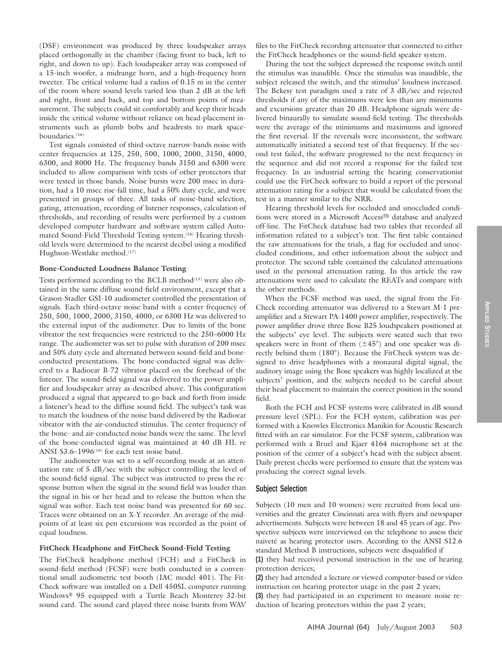(DSF) environment was produced by three loudspeaker arrays placed orthogonally in the chamber (facing front to back, left to right, and down to up). Each loudspeaker array was composed of a 15-inch woofer, a midrange horn, and a high-frequency horn tweeter. The critical volume had a radius of 0.15 m in the center of the room where sound levels varied less than 2 dB at the left and right, front and back, and top and bottom points of measurement. The subjects could sit comfortably and keep their heads inside the critical volume without reliance on head-placement instruments such as plumb bobs and headrests to mark spaceboundaries.<sup>(16)</sup>

Test signals consisted of third-octave narrow-bands noise with center frequencies at 125, 250, 500, 1000, 2000, 3150, 4000, 6300, and 8000 Hz. The frequency bands 3150 and 6300 were included to allow comparison with tests of other protectors that were tested in those bands. Noise bursts were 200 msec in duration, had a 10 msec rise-fall time, had a 50% duty cycle, and were presented in groups of three. All tasks of noise-band selection, gating, attenuation, recording of listener responses, calculation of thresholds, and recording of results were performed by a custom developed computer hardware and software system called Automated Sound-Field Threshold Testing system.<sup>(16)</sup> Hearing threshold levels were determined to the nearest decibel using a modified Hughson-Westlake method.(17)

#### **Bone-Conducted Loudness Balance Testing**

Tests performed according to the BCLB method<sup>(13)</sup> were also obtained in the same diffuse sound-field environment, except that a Grason-Stadler GSI-10 audiometer controlled the presentation of signals. Each third-octave noise band with a center frequency of 250, 500, 1000, 2000, 3150, 4000, or 6300 Hz was delivered to the external input of the audiometer. Due to limits of the bone vibrator the test frequencies were restricted to the 250–6000 Hz range. The audiometer was set to pulse with duration of 200 msec and 50% duty cycle and alternated between sound-field and boneconducted presentations. The bone-conducted signal was delivered to a Radioear B-72 vibrator placed on the forehead of the listener. The sound-field signal was delivered to the power amplifier and loudspeaker array as described above. This configuration produced a signal that appeared to go back and forth from inside a listener's head to the diffuse sound field. The subject's task was to match the loudness of the noise band delivered by the Radioear vibrator with the air-conducted stimulus. The center frequency of the bone- and air-conducted noise bands were the same. The level of the bone-conducted signal was maintained at 40 dB HL re ANSI S3.6-1996<sup>(18)</sup> for each test noise band.

The audiometer was set to a self-recording mode at an attenuation rate of 5 dB/sec with the subject controlling the level of the sound-field signal. The subject was instructed to press the response button when the signal in the sound field was louder than the signal in his or her head and to release the button when the signal was softer. Each test noise band was presented for 60 sec. Traces were obtained on an X-Y recorder. An average of the midpoints of at least six pen excursions was recorded as the point of equal loudness.

## **FitCheck Headphone and FitCheck Sound-Field Testing**

The FitCheck headphone method (FCH) and a FitCheck in sound-field method (FCSF) were both conducted in a conventional small audiometric test booth (IAC model 401). The Fit-Check software was installed on a Dell 450SL computer running Windows® 95 equipped with a Turtle Beach Monterey 32-bit sound card. The sound card played three noise bursts from WAV

files to the FitCheck recording attenuator that connected to either the FitCheck headphones or the sound-field speaker system.

During the test the subject depressed the response switch until the stimulus was inaudible. Once the stimulus was inaudible, the subject released the switch, and the stimulus' loudness increased. The Bekesy test paradigm used a rate of 3 dB/sec and rejected thresholds if any of the maximums were less than any minimums and excursions greater than 20 dB. Headphone signals were delivered binaurally to simulate sound-field testing. The thresholds were the average of the minimums and maximums and ignored the first reversal. If the reversals were inconsistent, the software automatically initiated a second test of that frequency. If the second test failed, the software progressed to the next frequency in the sequence and did not record a response for the failed test frequency. In an industrial setting the hearing conservationist could use the FitCheck software to build a report of the personal attenuation rating for a subject that would be calculated from the test in a manner similar to the NRR.

Hearing threshold levels for occluded and unoccluded conditions were stored in a Microsoft Access® database and analyzed off-line. The FitCheck database had two tables that recorded all information related to a subject's test. The first table contained the raw attenuations for the trials, a flag for occluded and unoccluded conditions, and other information about the subject and protector. The second table contained the calculated attenuations used in the personal attenuation rating. In this article the raw attenuations were used to calculate the REATs and compare with the other methods.

When the FCSF method was used, the signal from the Fit-Check recording attenuator was delivered to a Stewart M-1 preamplifier and a Stewart PA-1400 power amplifier, respectively. The power amplifier drove three Bose B25 loudspeakers positioned at the subjects' eye level. The subjects were seated such that two speakers were in front of them  $(\pm 45^{\circ})$  and one speaker was directly behind them (180°). Because the FitCheck system was designed to drive headphones with a monaural digital signal, the auditory image using the Bose speakers was highly localized at the subjects' position, and the subjects needed to be careful about their head placement to maintain the correct position in the sound field.

Both the FCH and FCSF systems were calibrated in dB sound pressure level (SPL). For the FCH system, calibration was performed with a Knowles Electronics Manikin for Acoustic Research fitted with an ear simulator. For the FCSF system, calibration was performed with a Bruel and Kjaer 4164 microphone set at the position of the center of a subject's head with the subject absent. Daily pretest checks were performed to ensure that the system was producing the correct signal levels.

#### **Subject Selection**

Subjects (10 men and 10 women) were recruited from local universities and the greater Cincinnati area with flyers and newspaper advertisements. Subjects were between 18 and 45 years of age. Prospective subjects were interviewed on the telephone to assess their naiveté as hearing protector users. According to the ANSI S12.6 standard Method B instructions, subjects were disqualified if

**(1)** they had received personal instruction in the use of hearing protection devices;

**(2)** they had attended a lecture or viewed computer-based or video instruction on hearing protector usage in the past 2 years;

**(3)** they had participated in an experiment to measure noise reduction of hearing protectors within the past 2 years;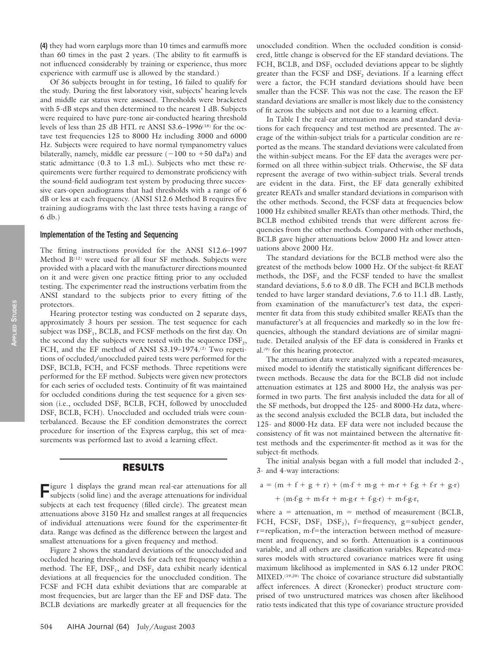**(4)** they had worn earplugs more than 10 times and earmuffs more than 60 times in the past 2 years. (The ability to fit earmuffs is not influenced considerably by training or experience, thus more experience with earmuff use is allowed by the standard.)

Of 36 subjects brought in for testing, 16 failed to qualify for the study. During the first laboratory visit, subjects' hearing levels and middle ear status were assessed. Thresholds were bracketed with 5-dB steps and then determined to the nearest 1 dB. Subjects were required to have pure-tone air-conducted hearing threshold levels of less than 25 dB HTL re ANSI S3.6–1996(18) for the octave test frequencies 125 to 8000 Hz including 3000 and 6000 Hz. Subjects were required to have normal tympanometry values bilaterally, namely, middle ear pressure  $(-100$  to  $+50$  daPa) and static admittance (0.3 to 1.3 mL). Subjects who met these requirements were further required to demonstrate proficiency with the sound-field audiogram test system by producing three successive ears-open audiograms that had thresholds with a range of 6 dB or less at each frequency. (ANSI S12.6 Method B requires five training audiograms with the last three tests having a range of 6 db.)

## **Implementation of the Testing and Sequencing**

The fitting instructions provided for the ANSI S12.6–1997 Method  $B^{(12)}$  were used for all four SF methods. Subjects were provided with a placard with the manufacturer directions mounted on it and were given one practice fitting prior to any occluded testing. The experimenter read the instructions verbatim from the ANSI standard to the subjects prior to every fitting of the protectors.

Hearing protector testing was conducted on 2 separate days, approximately 3 hours per session. The test sequence for each subject was DSF<sub>1</sub>, BCLB, and FCSF methods on the first day. On the second day the subjects were tested with the sequence  $\text{DSF}_2$ , FCH, and the EF method of ANSI S3.19–1974.<sup>(2)</sup> Two repetitions of occluded/unoccluded paired tests were performed for the DSF, BCLB, FCH, and FCSF methods. Three repetitions were performed for the EF method. Subjects were given new protectors for each series of occluded tests. Continuity of fit was maintained for occluded conditions during the test sequence for a given session (i.e., occluded DSF, BCLB, FCH, followed by unoccluded DSF, BCLB, FCH). Unoccluded and occluded trials were counterbalanced. Because the EF condition demonstrates the correct procedure for insertion of the Express earplug, this set of measurements was performed last to avoid a learning effect.

# **RESULTS**

**Figure 1 displays the grand mean real-ear attenuations for all subjects (solid line) and the average attenuations for individual** subjects at each test frequency (filled circle). The greatest mean attenuations above 3150 Hz and smallest ranges at all frequencies of individual attenuations were found for the experimenter-fit data. Range was defined as the difference between the largest and smallest attenuations for a given frequency and method.

Figure 2 shows the standard deviations of the unoccluded and occluded hearing threshold levels for each test frequency within a method. The EF,  $DSF_1$ , and  $DSF_2$  data exhibit nearly identical deviations at all frequencies for the unoccluded condition. The FCSF and FCH data exhibit deviations that are comparable at most frequencies, but are larger than the EF and DSF data. The BCLB deviations are markedly greater at all frequencies for the

unoccluded condition. When the occluded condition is considered, little change is observed for the EF standard deviations. The FCH, BCLB, and  $DSF_1$  occluded deviations appear to be slightly greater than the FCSF and  $DSF<sub>2</sub>$  deviations. If a learning effect were a factor, the FCH standard deviations should have been smaller than the FCSF. This was not the case. The reason the EF standard deviations are smaller is most likely due to the consistency of fit across the subjects and not due to a learning effect.

In Table I the real-ear attenuation means and standard deviations for each frequency and test method are presented. The average of the within-subject trials for a particular condition are reported as the means. The standard deviations were calculated from the within-subject means. For the EF data the averages were performed on all three within-subject trials. Otherwise, the SF data represent the average of two within-subject trials. Several trends are evident in the data. First, the EF data generally exhibited greater REATs and smaller standard deviations in comparison with the other methods. Second, the FCSF data at frequencies below 1000 Hz exhibited smaller REATs than other methods. Third, the BCLB method exhibited trends that were different across frequencies from the other methods. Compared with other methods, BCLB gave higher attenuations below 2000 Hz and lower attenuations above 2000 Hz.

The standard deviations for the BCLB method were also the greatest of the methods below 1000 Hz. Of the subject-fit REAT methods, the  $DSF_2$  and the FCSF tended to have the smallest standard deviations, 5.6 to 8.0 dB. The FCH and BCLB methods tended to have larger standard deviations, 7.6 to 11.1 dB. Lastly, from examination of the manufacturer's test data, the experimenter fit data from this study exhibited smaller REATs than the manufacturer's at all frequencies and markedly so in the low frequencies, although the standard deviations are of similar magnitude. Detailed analysis of the EF data is considered in Franks et al.(9) for this hearing protector.

The attenuation data were analyzed with a repeated-measures, mixed model to identify the statistically significant differences between methods. Because the data for the BCLB did not include attenuation estimates at 125 and 8000 Hz, the analysis was performed in two parts. The first analysis included the data for all of the SF methods, but dropped the 125- and 8000-Hz data, whereas the second analysis excluded the BCLB data, but included the 125- and 8000-Hz data. EF data were not included because the consistency of fit was not maintained between the alternative fittest methods and the experimenter-fit method as it was for the subject-fit methods.

The initial analysis began with a full model that included 2-, 3- and 4-way interactions:

$$
a = (m + f + g + r) + (m \cdot f + m \cdot g + m \cdot r + f \cdot g + f \cdot r + g \cdot r)
$$

$$
+\ (m \cdot f \cdot g\ +\ m \cdot f \cdot r\ +\ m \cdot g \cdot r\ +\ f \cdot g \cdot r)\ +\ m \cdot f \cdot g \cdot r,
$$

where  $a =$  attenuation,  $m =$  method of measurement (BCLB, FCH, FCSF,  $DSF_1$   $DSF_2$ ), f=frequency, g=subject gender, r=replication, m·f=the interaction between method of measurement and frequency, and so forth. Attenuation is a continuous variable, and all others are classification variables. Repeated-measures models with structured covariance matrices were fit using maximum likelihood as implemented in SAS 6.12 under PROC MIXED.(19,20) The choice of covariance structure did substantially affect inferences. A direct (Kronecker) product structure comprised of two unstructured matrices was chosen after likelihood ratio tests indicated that this type of covariance structure provided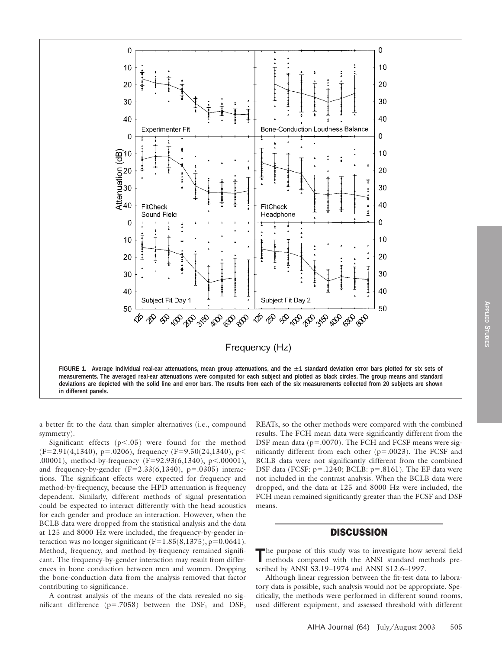

a better fit to the data than simpler alternatives (i.e., compound symmetry).

Significant effects  $(p<.05)$  were found for the method  $(F=2.91(4,1340), p=.0206)$ , frequency  $(F=9.50(24,1340), p<$ .00001), method-by-frequency  $(F=92.93(6,1340), p<.00001)$ , and frequency-by-gender  $(F=2.33(6,1340), p=.0305)$  interactions. The significant effects were expected for frequency and method-by-frequency, because the HPD attenuation is frequency dependent. Similarly, different methods of signal presentation could be expected to interact differently with the head acoustics for each gender and produce an interaction. However, when the BCLB data were dropped from the statistical analysis and the data at 125 and 8000 Hz were included, the frequency-by-gender interaction was no longer significant (F=1.85(8,1375), p=0.0641). Method, frequency, and method-by-frequency remained significant. The frequency-by-gender interaction may result from differences in bone conduction between men and women. Dropping the bone-conduction data from the analysis removed that factor contributing to significance.

A contrast analysis of the means of the data revealed no significant difference ( $p=.7058$ ) between the  $DSF_1$  and  $DSF_2$ 

REATs, so the other methods were compared with the combined results. The FCH mean data were significantly different from the DSF mean data ( $p=.0070$ ). The FCH and FCSF means were significantly different from each other  $(p=.0023)$ . The FCSF and BCLB data were not significantly different from the combined DSF data (FCSF:  $p=.1240$ ; BCLB:  $p=.8161$ ). The EF data were not included in the contrast analysis. When the BCLB data were dropped, and the data at 125 and 8000 Hz were included, the FCH mean remained significantly greater than the FCSF and DSF means.

# **DISCUSSION**

The purpose of this study was to investigate how several field methods compared with the ANSI standard methods prescribed by ANSI S3.19–1974 and ANSI S12.6–1997.

Although linear regression between the fit-test data to laboratory data is possible, such analysis would not be appropriate. Specifically, the methods were performed in different sound rooms, used different equipment, and assessed threshold with different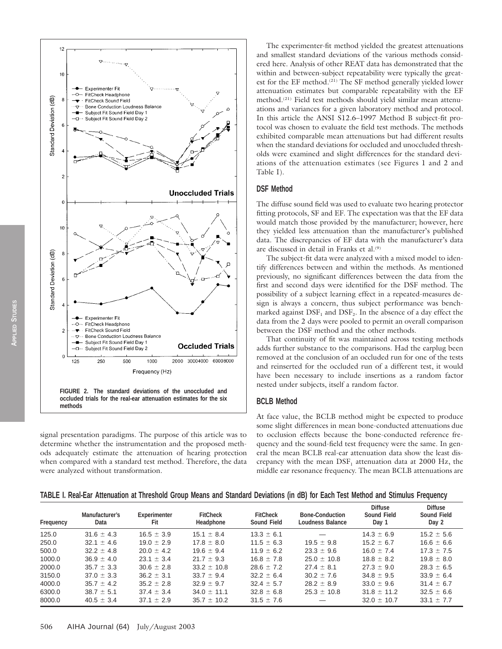

signal presentation paradigms. The purpose of this article was to determine whether the instrumentation and the proposed methods adequately estimate the attenuation of hearing protection when compared with a standard test method. Therefore, the data were analyzed without transformation.

The experimenter-fit method yielded the greatest attenuations and smallest standard deviations of the various methods considered here. Analysis of other REAT data has demonstrated that the within and between-subject repeatability were typically the greatest for the EF method.(21) The SF method generally yielded lower attenuation estimates but comparable repeatability with the EF method.(21) Field test methods should yield similar mean attenuations and variances for a given laboratory method and protocol. In this article the ANSI S12.6–1997 Method B subject-fit protocol was chosen to evaluate the field test methods. The methods exhibited comparable mean attenuations but had different results when the standard deviations for occluded and unoccluded thresholds were examined and slight differences for the standard deviations of the attenuation estimates (see Figures 1 and 2 and Table I).

# **DSF Method**

The diffuse sound field was used to evaluate two hearing protector fitting protocols, SF and EF. The expectation was that the EF data would match those provided by the manufacturer; however, here they yielded less attenuation than the manufacturer's published data. The discrepancies of EF data with the manufacturer's data are discussed in detail in Franks et al.(9)

The subject-fit data were analyzed with a mixed model to identify differences between and within the methods. As mentioned previously, no significant differences between the data from the first and second days were identified for the DSF method. The possibility of a subject learning effect in a repeated-measures design is always a concern, thus subject performance was benchmarked against  $DSF_1$  and  $DSF_2$ . In the absence of a day effect the data from the 2 days were pooled to permit an overall comparison between the DSF method and the other methods.

That continuity of fit was maintained across testing methods adds further substance to the comparisons. Had the earplug been removed at the conclusion of an occluded run for one of the tests and reinserted for the occluded run of a different test, it would have been necessary to include insertions as a random factor nested under subjects, itself a random factor.

# **BCLB Method**

At face value, the BCLB method might be expected to produce some slight differences in mean bone-conducted attenuations due to occlusion effects because the bone-conducted reference frequency and the sound-field test frequency were the same. In general the mean BCLB real-ear attenuation data show the least discrepancy with the mean  $DSF_1$  attenuation data at 2000 Hz, the middle ear resonance frequency. The mean BCLB attenuations are

### **TABLE I. Real-Ear Attenuation at Threshold Group Means and Standard Deviations (in dB) for Each Test Method and Stimulus Frequency**

| Frequency | Manufacturer's<br>Data | <b>Experimenter</b><br>Fit | <b>FitCheck</b><br>Headphone | <b>FitCheck</b><br><b>Sound Field</b> | <b>Bone-Conduction</b><br><b>Loudness Balance</b> | <b>Diffuse</b><br>Sound Field<br>Day 1 | <b>Diffuse</b><br><b>Sound Field</b><br>Day 2 |
|-----------|------------------------|----------------------------|------------------------------|---------------------------------------|---------------------------------------------------|----------------------------------------|-----------------------------------------------|
| 125.0     | $31.6 \pm 4.3$         | $16.5 \pm 3.9$             | $15.1 \pm 8.4$               | $13.3 \pm 6.1$                        |                                                   | $14.3 \pm 6.9$                         | $15.2 \pm 5.6$                                |
| 250.0     | $32.1 \pm 4.6$         | $19.0 \pm 2.9$             | $17.8 \pm 8.0$               | $11.5 \pm 6.3$                        | $19.5 \pm 9.8$                                    | $15.2 \pm 6.7$                         | $16.6 \pm 6.6$                                |
| 500.0     | $32.2 \pm 4.8$         | $20.0 + 4.2$               | $19.6 + 9.4$                 | $11.9 \pm 6.2$                        | $23.3 \pm 9.6$                                    | $16.0 + 7.4$                           | $17.3 \pm 7.5$                                |
| 1000.0    | $36.9 \pm 4.0$         | $23.1 \pm 3.4$             | $21.7 \pm 9.3$               | $16.8 \pm 7.8$                        | $25.0 \pm 10.8$                                   | $18.8 \pm 8.2$                         | $19.8 \pm 8.0$                                |
| 2000.0    | $35.7 \pm 3.3$         | $30.6 \pm 2.8$             | $33.2 \pm 10.8$              | $28.6 \pm 7.2$                        | $27.4 \pm 8.1$                                    | $27.3 \pm 9.0$                         | $28.3 \pm 6.5$                                |
| 3150.0    | $37.0 \pm 3.3$         | $36.2 \pm 3.1$             | $33.7 \pm 9.4$               | $32.2 \pm 6.4$                        | $30.2 \pm 7.6$                                    | $34.8 \pm 9.5$                         | $33.9 \pm 6.4$                                |
| 4000.0    | $35.7 \pm 4.2$         | $35.2 \pm 2.8$             | $32.9 \pm 9.7$               | $32.4 \pm 5.7$                        | $28.2 \pm 8.9$                                    | $33.0 \pm 9.6$                         | $31.4 \pm 6.7$                                |
| 6300.0    | $38.7 \pm 5.1$         | $37.4 \pm 3.4$             | $34.0 \pm 11.1$              | $32.8 \pm 6.8$                        | $25.3 \pm 10.8$                                   | $31.8 \pm 11.2$                        | $32.5 \pm 6.6$                                |
| 8000.0    | $40.5 \pm 3.4$         | $37.1 \pm 2.9$             | $35.7 \pm 10.2$              | $31.5 \pm 7.6$                        |                                                   | $32.0 \pm 10.7$                        | $33.1 \pm 7.7$                                |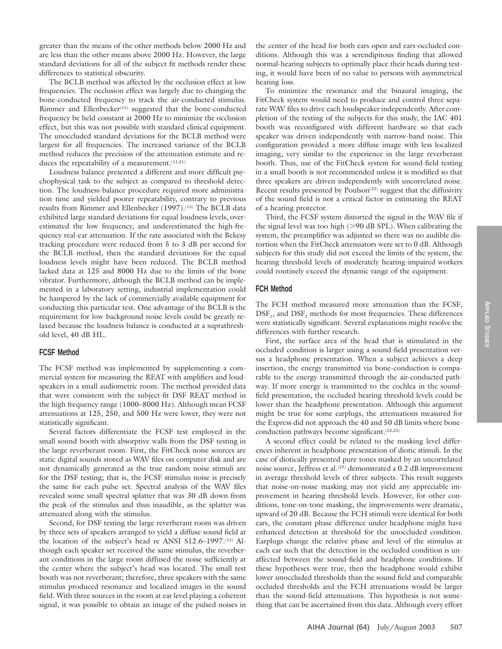greater than the means of the other methods below 2000 Hz and are less than the other means above 2000 Hz. However, the large standard deviations for all of the subject fit methods render these differences to statistical obscurity.

The BCLB method was affected by the occlusion effect at low frequencies. The occlusion effect was largely due to changing the bone-conducted frequency to track the air-conducted stimulus. Rimmer and Ellenbecker<sup>(13)</sup> suggested that the bone-conducted frequency be held constant at 2000 Hz to minimize the occlusion effect, but this was not possible with standard clinical equipment. The unoccluded standard deviations for the BCLB method were largest for all frequencies. The increased variance of the BCLB method reduces the precision of the attenuation estimate and reduces the repeatability of a measurement.<sup>(11,21)</sup>

Loudness balance presented a different and more difficult psychophysical task to the subject as compared to threshold detection. The loudness-balance procedure required more administration time and yielded poorer repeatability, contrary to previous results from Rimmer and Ellenbecker (1997).<sup>(13)</sup> The BCLB data exhibited large standard deviations for equal loudness levels, overestimated the low frequency, and underestimated the high-frequency real-ear attenuation. If the rate associated with the Bekesy tracking procedure were reduced from 5 to 3 dB per second for the BCLB method, then the standard deviations for the equal loudness levels might have been reduced. The BCLB method lacked data at 125 and 8000 Hz due to the limits of the bone vibrator. Furthermore, although the BCLB method can be implemented in a laboratory setting, industrial implementation could be hampered by the lack of commercially available equipment for conducting this particular test. One advantage of the BCLB is the requirement for low background noise levels could be greatly relaxed because the loudness balance is conducted at a suprathreshold level, 40 dB HL.

## **FCSF Method**

The FCSF method was implemented by supplementing a commercial system for measuring the REAT with amplifiers and loudspeakers in a small audiometric room. The method provided data that were consistent with the subject-fit DSF REAT method in the high frequency range (1000–8000 Hz). Although mean FCSF attenuations at 125, 250, and 500 Hz were lower, they were not statistically significant.

Several factors differentiate the FCSF test employed in the small sound booth with absorptive walls from the DSF testing in the large reverberant room. First, the FitCheck noise sources are static digital sounds stored as WAV files on computer disk and are not dynamically generated as the true random noise stimuli are for the DSF testing; that is, the FCSF stimulus noise is precisely the same for each pulse set. Spectral analysis of the WAV files revealed some small spectral splatter that was 30 dB down from the peak of the stimulus and thus inaudible, as the splatter was attenuated along with the stimulus.

Second, for DSF testing the large reverberant room was driven by three sets of speakers arranged to yield a diffuse sound field at the location of the subject's head re ANSI S12.6–1997.(12) Although each speaker set received the same stimulus, the reverberant conditions in the large room diffused the noise sufficiently at the center where the subject's head was located. The small test booth was not reverberant; therefore, three speakers with the same stimulus produced resonance and localized images in the sound field. With three sources in the room at ear level playing a coherent signal, it was possible to obtain an image of the pulsed noises in

the center of the head for both ears open and ears-occluded conditions. Although this was a serendipitous finding that allowed normal-hearing subjects to optimally place their heads during testing, it would have been of no value to persons with asymmetrical hearing loss.

To minimize the resonance and the binaural imaging, the FitCheck system would need to produce and control three separate WAV files to drive each loudspeaker independently. After completion of the testing of the subjects for this study, the IAC 401 booth was reconfigured with different hardware so that each speaker was driven independently with narrow-band noise. This configuration provided a more diffuse image with less localized imaging, very similar to the experience in the large reverberant booth. Thus, use of the FitCheck system for sound-field testing in a small booth is not recommended unless it is modified so that three speakers are driven independently with uncorrelated noise. Recent results presented by Poulson<sup>(22)</sup> suggest that the diffusivity of the sound field is not a critical factor in estimating the REAT of a hearing protector.

Third, the FCSF system distorted the signal in the WAV file if the signal level was too high  $(>90$  dB SPL). When calibrating the system, the preamplifier was adjusted so there was no audible distortion when the FitCheck attenuators were set to 0 dB. Although subjects for this study did not exceed the limits of the system, the hearing threshold levels of moderately hearing-impaired workers could routinely exceed the dynamic range of the equipment.

## **FCH Method**

The FCH method measured more attenuation than the FCSF,  $DSF<sub>1</sub>$ , and  $DSF<sub>2</sub>$  methods for most frequencies. These differences were statistically significant. Several explanations might resolve the differences with further research.

First, the surface area of the head that is stimulated in the occluded condition is larger using a sound-field presentation versus a headphone presentation. When a subject achieves a deep insertion, the energy transmitted via bone-conduction is comparable to the energy transmitted through the air-conducted pathway. If more energy is transmitted to the cochlea in the soundfield presentation, the occluded hearing threshold levels could be lower than the headphone presentation. Although this argument might be true for some earplugs, the attenuations measured for the Express did not approach the 40 and 50 dB limits where boneconduction pathways become significant.<sup>(22,23)</sup>

A second effect could be related to the masking level differences inherent in headphone presentation of diotic stimuli. In the case of diotically presented pure tones masked by an uncorrelated noise source, Jeffress et al.<sup>(23)</sup> demonstrated a 0.2 dB improvement in average threshold levels of three subjects. This result suggests that noise-on-noise masking may not yield any appreciable improvement in hearing threshold levels. However, for other conditions, tone-on-tone masking, the improvements were dramatic, upward of 20 dB. Because the FCH stimuli were identical for both ears, the constant phase difference under headphone might have enhanced detection at threshold for the unoccluded condition. Earplugs change the relative phase and level of the stimulus at each ear such that the detection in the occluded condition is unaffected between the sound-field and headphone conditions. If these hypotheses were true, then the headphone would exhibit lower unoccluded thresholds than the sound field and comparable occluded thresholds and the FCH attenuations would be larger than the sound-field attenuations. This hypothesis is not something that can be ascertained from this data. Although every effort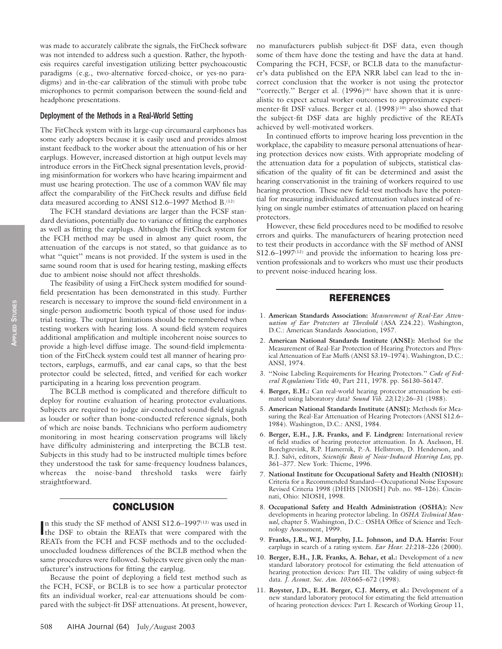was made to accurately calibrate the signals, the FitCheck software was not intended to address such a question. Rather, the hypothesis requires careful investigation utilizing better psychoacoustic paradigms (e.g., two-alternative forced-choice, or yes-no paradigms) and in-the-ear calibration of the stimuli with probe tube microphones to permit comparison between the sound-field and headphone presentations.

## **Deployment of the Methods in a Real-World Setting**

The FitCheck system with its large-cup circumaural earphones has some early adopters because it is easily used and provides almost instant feedback to the worker about the attenuation of his or her earplugs. However, increased distortion at high output levels may introduce errors in the FitCheck signal presentation levels, providing misinformation for workers who have hearing impairment and must use hearing protection. The use of a common WAV file may affect the comparability of the FitCheck results and diffuse field data measured according to ANSI S12.6-1997 Method B.<sup>(12)</sup>

The FCH standard deviations are larger than the FCSF standard deviations, potentially due to variance of fitting the earphones as well as fitting the earplugs. Although the FitCheck system for the FCH method may be used in almost any quiet room, the attenuation of the earcups is not stated, so that guidance as to what "quiet" means is not provided. If the system is used in the same sound room that is used for hearing testing, masking effects due to ambient noise should not affect thresholds.

The feasibility of using a FitCheck system modified for soundfield presentation has been demonstrated in this study. Further research is necessary to improve the sound-field environment in a single-person audiometric booth typical of those used for industrial testing. The output limitations should be remembered when testing workers with hearing loss. A sound-field system requires additional amplification and multiple incoherent noise sources to provide a high-level diffuse image. The sound-field implementation of the FitCheck system could test all manner of hearing protectors, earplugs, earmuffs, and ear canal caps, so that the best protector could be selected, fitted, and verified for each worker participating in a hearing loss prevention program.

The BCLB method is complicated and therefore difficult to deploy for routine evaluation of hearing protector evaluations. Subjects are required to judge air-conducted sound-field signals as louder or softer than bone-conducted reference signals, both of which are noise bands. Technicians who perform audiometry monitoring in most hearing conservation programs will likely have difficulty administering and interpreting the BCLB test. Subjects in this study had to be instructed multiple times before they understood the task for same-frequency loudness balances, whereas the noise-band threshold tasks were fairly straightforward.

# **CONCLUSION**

In this study the SF method of ANSI  $S12.6-1997(12)$  was used in the DSF to obtain the REATs that were compared with the n this study the SF method of ANSI S12.6–1997(12) was used in REATs from the FCH and FCSF methods and to the occludedunoccluded loudness differences of the BCLB method when the same procedures were followed. Subjects were given only the manufacturer's instructions for fitting the earplug.

Because the point of deploying a field test method such as the FCH, FCSF, or BCLB is to see how a particular protector fits an individual worker, real-ear attenuations should be compared with the subject-fit DSF attenuations. At present, however, no manufacturers publish subject-fit DSF data, even though some of them have done the testing and have the data at hand. Comparing the FCH, FCSF, or BCLB data to the manufacturer's data published on the EPA NRR label can lead to the incorrect conclusion that the worker is not using the protector "correctly." Berger et al.  $(1996)^{(6)}$  have shown that it is unrealistic to expect actual worker outcomes to approximate experimenter-fit DSF values. Berger et al. (1998)<sup>(10)</sup> also showed that the subject-fit DSF data are highly predictive of the REATs achieved by well-motivated workers.

In continued efforts to improve hearing loss prevention in the workplace, the capability to measure personal attenuations of hearing protection devices now exists. With appropriate modeling of the attenuation data for a population of subjects, statistical classification of the quality of fit can be determined and assist the hearing conservationist in the training of workers required to use hearing protection. These new field-test methods have the potential for measuring individualized attenuation values instead of relying on single number estimates of attenuation placed on hearing protectors.

However, these field procedures need to be modified to resolve errors and quirks. The manufacturers of hearing protection need to test their products in accordance with the SF method of ANSI S12.6–1997<sup>(12)</sup> and provide the information to hearing loss prevention professionals and to workers who must use their products to prevent noise-induced hearing loss.

# **REFERENCES**

- 1. **American Standards Association:** *Measurement of Real-Ear Attenuation of Ear Protectors at Threshold* (ASA Z24.22). Washington, D.C.: American Standards Association, 1957.
- 2. **American National Standards Institute (ANSI):** Method for the Measurement of Real-Ear Protection of Hearing Protectors and Physical Attenuation of Ear Muffs (ANSI S3.19–1974). Washington, D.C.: ANSI, 1974.
- 3. ''Noise Labeling Requirements for Hearing Protectors.'' *Code of Federal Regulations* Title 40, Part 211, 1978. pp. 56130–56147.
- 4. **Berger, E.H.:** Can real-world hearing protector attenuation be estimated using laboratory data? *Sound Vib. 22*(12):26–31 (1988).
- 5. **American National Standards Institute (ANSI):** Methods for Measuring the Real-Ear Attenuation of Hearing Protectors (ANSI S12.6– 1984). Washington, D.C.: ANSI, 1984.
- 6. **Berger, E.H., J.R. Franks, and F. Lindgren:** International review of field studies of hearing protector attenuation. In A. Axelsson, H. Borchgrevink, R.P. Hamernik, P.-A. Hellstrom, D. Henderson, and R.J. Salvi, editors, *Scientific Basis of Noise-Induced Hearing Loss,* pp. 361–377. New York: Thieme, 1996.
- 7. **National Institute for Occupational Safety and Health (NIOSH):** Criteria for a Recommended Standard—Occupational Noise Exposure Revised Criteria 1998 (DHHS [NIOSH] Pub. no. 98–126). Cincinnati, Ohio: NIOSH, 1998.
- 8. **Occupational Safety and Health Administration (OSHA):** New developments in hearing protector labeling. In *OSHA Technical Manual,* chapter 5. Washington, D.C.: OSHA Office of Science and Technology Assessment, 1999.
- 9. **Franks, J.R., W.J. Murphy, J.L. Johnson, and D.A. Harris:** Four earplugs in search of a rating system. *Ear Hear. 21*:218–226 (2000).
- 10. **Berger, E.H., J.R. Franks, A. Behar, et al.:** Development of a new standard laboratory protocol for estimating the field attenuation of hearing protection devices: Part III. The validity of using subject-fit data. *J. Acoust. Soc. Am. 103*:665–672 (1998).
- 11. **Royster, J.D., E.H. Berger, C.J. Merry, et al.:** Development of a new standard laboratory protocol for estimating the field attenuation of hearing protection devices: Part I. Research of Working Group 11,